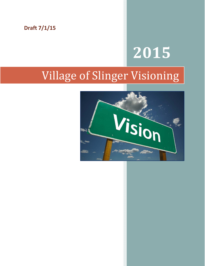**Draft 7/1/15**

# **2015**

# Village of Slinger Visioning

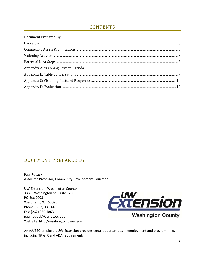# **CONTENTS**

# DOCUMENT PREPARED BY:

Paul Roback Associate Professor, Community Development Educator

UW-Extension, Washington County 333 E. Washington St., Suite 1200 PO Box 2003 West Bend, WI 53095 Phone: (262) 335-4480 Fax: (262) 335-4863 paul.roback@ces.uwex.edu Web site: http://washington.uwex.edu



An AA/EEO employer, UW-Extension provides equal opportunities in employment and programming, including Title IX and ADA requirements.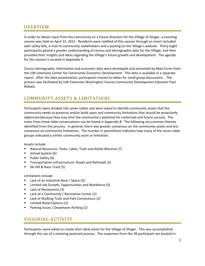# **OVERVIEW**

In order to obtain input from the community on a future direction for the Village of Slinger, a visioning session was held on April 23, 2015. Residents were notified of this session through an insert included with utility bills, e-mail to community stakeholders and a posting on the Village's website. Thirty-eight participants gained a greater understanding of census and demographic data for the Village, and then provided their insights and ideas regarding the Village's future growth and development. The agenda for this session is located in Appendix A.

Census demographic information and economic data were developed and presented by Matt Kures from the UW‐Extension Center for Community Economic Development. This data is available in a separate report. After the data presentation, participants moved to tables for small group discussions. This process was facilitated by UW‐Extension Washington County Community Development Educator Paul Roback.

# COMMUNITY ASSETS & LIMITATIONS

Participants were divided into seven tables and were asked to identify community assets that the community needs to preserve and/or build upon and community limitations that should be proactively addressed because they may limit the community's potential for continued and future success. The notes from these table conversations can be found in Appendix B. The following are common themes identified from this process. In general, there was greater consensus on the community assets and less consensus on community limitations. The number in parenthesis indicates how many of the seven table groups indicated a similar community asset or limitation.

Assets include:

- Natural Resources‐ Parks, Lakes, Trails and Kettle Moraine (7)
- School System (6)
- Public Safety (6)
- Transportation Infrastructure‐ Roads and Railroads (5)
- Ski Hill & Race Track (5)

Limitations include:

- Lack of an Industrial Base / Space (3)
- **E** Limited Job Growth, Opportunities and Workforce (3)
- Lack of Restaurants (3)
- **E** Lack of a Community / Recreation Center (2)
- Lack of Walking Trails and Park Connections (2)
- Limited Retail Options (2)
- Parking Issues / Downtown Parking (2)

# VISIONING ACTIVITY

Participants were asked to create their ideal vision for the Village of Slinger. This was accomplished through the use of a visioning postcard process. The responses from the 38 participant are located in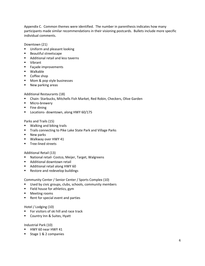Appendix C. Common themes were identified. The number in parenthesis indicates how many participants made similar recommendations in their visioning postcards. Bullets include more specific individual comments.

Downtown (21)

- **Uniform and pleasant looking**
- **Beautiful streetscape**
- **Additional retail and less taverns**
- Vibrant
- **Façade improvements**
- Walkable
- **Coffee shop**
- **Mom & pop style businesses**
- New parking areas

Additional Restaurants (18)

- Chain-Starbucks, Mitchells Fish Market, Red Robin, Checkers, Olive Garden
- Micro-brewery
- $\blacksquare$  Fine dining
- Locations- downtown, along HWY 60/175

Parks and Trails (15)

- **Walking and biking trails**
- **Trails connecting to Pike Lake State Park and Village Parks**
- **New parks**
- Walkway over HWY 41
- Tree-lined streets

#### Additional Retail (13)

- National retail- Costco, Meijer, Target, Walgreens
- **Additional downtown retail**
- **Additional retail along HWY 60**
- **Restore and redevelop buildings**

Community Center / Senior Center / Sports Complex (10)

- **Used by civic groups, clubs, schools, community members**
- Field house for athletics, gym
- **Meeting rooms**
- Rent for special event and parties

#### Hotel / Lodging (10)

- **For visitors of ski hill and race track**
- **E** Country Inn & Suites, Hyatt

Industrial Park (10)

- **HWY 60 near HWY 41**
- Stage 1 & 2 companies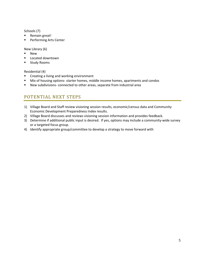Schools (7)

- Remain great!
- **Performing Arts Center**

#### New Library (6)

- **New**
- Located downtown
- **E** Study Rooms

#### Residential (4)

- **EXECT** Creating a living and working environment
- Mix of housing options-starter homes, middle income homes, apartments and condos
- New subdivisions- connected to other areas, separate from industrial area

# POTENTIAL NEXT STEPS

- 1) Village Board and Staff review visioning session results, economic/census data and Community Economic Development Preparedness Index results.
- 2) Village Board discusses and reviews visioning session information and provides feedback.
- 3) Determine if additional public input is desired. If yes, options may include a community‐wide survey or a targeted focus group.
- 4) Identify appropriate group/committee to develop a strategy to move forward with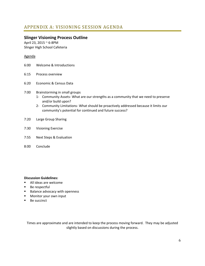### **Slinger Visioning Process Outline**

April 23, 2015 ~ 6‐8PM Slinger High School Cafeteria

#### Agenda

- 6:00 Welcome & Introductions
- 6:15 Process overview
- 6:20 Economic & Census Data
- 7:00 Brainstorming in small groups
	- 1‐ Community Assets‐ What are our strengths as a community that we need to preserve and/or build upon?
	- 2‐ Community Limitations‐ What should be proactively addressed because it limits our community's potential for continued and future success?
- 7:20 Large Group Sharing
- 7:30 Visioning Exercise
- 7:55 Next Steps & Evaluation
- 8:00 Conclude

#### **Discussion Guidelines:**

- All ideas are welcome
- **Be respectful**
- Balance advocacy with openness
- **Monitor your own input**
- Be succinct

Times are approximate and are intended to keep the process moving forward. They may be adjusted slightly based on discussions during the process.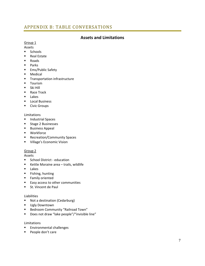# APPENDIX B: TABLE CONVERSATIONS

## **Assets and Limitations**

#### Group 1

Assets

- **Schools**
- Real Estate
- **Roads**
- **Parks**
- **Ems/Public Safety**
- Medical
- **Transportation infrastructure**
- **-** Tourism
- **Ski Hill**
- Race Track
- **Lakes**
- **Local Business**
- **Civic Groups**

#### Limitations

- **Industrial Spaces**
- **Stage 2 Businesses**
- **Business Appeal**
- **■** Workforce
- **Recreation/Community Spaces**
- **UILADE:** Village's Economic Vision

#### Group 2

Assets

- School District education
- Kettle Moraine area trails, wildlife
- Lakes
- **Fishing, hunting**
- **Family oriented**
- **Easy access to other communities**
- **St. Vincent de Paul**

#### Liabilities

- Not a destination (Cedarburg)
- **Ugly Downtown**
- **Bedroom Community "Railroad Town"**
- Does not draw "lake people"/"invisible line"

#### Limitations

- **Environmental challenges**
- **People don't care**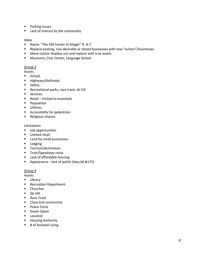- **Parking issues**
- **E** Lack of interest by the community

#### Ideas

- Name: "The Old Center of Slinger" R. B.!!
- Replace existing, non-desirable or closed businesses with new "suitors"/businesses
- **Move tractor displays out and replace with true assets**
- **Museums, Civic Center, Language School**

#### Group 3

#### Assets

- **School**
- **Highways/Railroads**
- **Safety**
- Recreational-parks, race track, ski hill
- **Services**
- $\blacksquare$  Retail limited to essentials
- **Population**
- **■** Utilities
- **Accessibility for pedestrian**
- **Religious choices**

#### Limitations

- **Job opportunities**
- **E** Limited retail
- **Land for small businesses**
- **Lodging**
- **Tourism/destination**
- **Train/Speedway noise**
- **EXEC** Lack of affordable housing
- Appearance lack of polish (Hwy 60 &175)

#### Group 4

Assets

- **E** Library
- **Recreation Department**
- **•** Churches
- **Ski Hill**
- Race Track
- **EXEC** Close knit community
- **Police Force**
- **Green Space**
- **Location**
- **Housing Authority**
- # of Assisted Living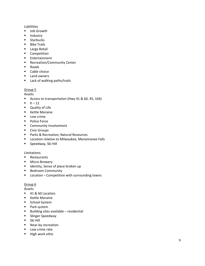#### Liabilities

- **Job Growth**
- **Industry**
- **Starbucks**
- **Bike Trails**
- **Large Retail**
- **-** Competition
- **Entertainment**
- **Recreation/Community Center**
- **Roads**
- **Cable choice**
- **Land owners**
- **Lack of walking paths/trails**

#### Group 5

Assets

- Access to transportation (Hwy 41 & 60, 45, 164)
- $\blacksquare$ K – 12
- **Quality of Life**
- **E** Kettle Moraine
- **Low crime**
- Police Force
- **EXECOMMUNITY Involvement**
- **-** Civic Groups
- **Parks & Recreation, Natural Resources**
- **E** Location relative to Milwaukee, Menomonee Falls
- **Speedway, Ski Hill**

#### Limitations

- **Restaurants**
- Micro-Brewery
- **If** Identity, Sense of place broken up
- **Bedroom Community**
- **E** Location Competition with surrounding towns

#### Group<sub>6</sub>

Assets

- 41 & 60 Location
- **E** Kettle Moraine
- **School System**
- **Park system**
- Building sites available residential
- **Example 2** Slinger Speedway
- Ski Hill
- Near-by recreation
- **Low crime rate**
- **High work ethic**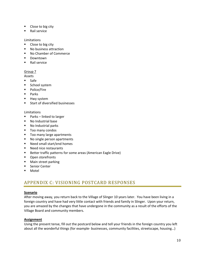- **Close to big city**
- **Rail service**

#### Limitations

- Close to big city
- No business attraction
- No Chamber of Commerce
- **Downtown**
- **Rail service**

#### Group 7

Assets

- Safe
- **School system**
- Police/Fire
- $\blacksquare$  Parks
- **Hwy system**
- **Start of diversified businesses**

#### Limitations

- Parks linked to larger
- **No Industrial base**
- No Industrial parks
- Too many condos
- Too many large apartments
- No single person apartments
- Need small start/end homes
- Need nice restaurants
- **Better traffic patterns for some areas (American Eagle Drive)**
- **•** Open storefronts
- **•** Main street parking
- **Senior Center**
- Motel

# APPENDIX C: VISIONING POSTCARD RESPONSES

#### **Scenario**

After moving away, you return back to the Village of Slinger 10 years later. You have been living in a foreign country and have had very little contact with friends and family in Slinger. Upon your return, you are amazed by the changes that have undergone in the community as a result of the efforts of the Village Board and community members.

#### **Assignment**

Using the present tense, fill out the postcard below and tell your friends in the foreign country you left about all the wonderful things (for example- businesses, community facilities, streetscape, housing...)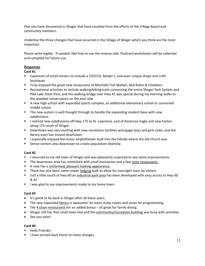that you have discovered in Slinger that have resulted from the efforts of the Village Board and community members.

Underline the three changes that have occurred in the Village of Slinger which you think are the most important.

Please write legibly. If needed, feel free to use the reverse side. Postcard worksheets will be collected and compiled for future use.

#### **Responses**

#### **Card #1**

- Expansion of retail centers to include a COSTCO, Meijer's, and even unique shops and craft boutiques
- **Truly enjoyed the great new restaurants of Mitchells Fish Market, Red Robin & Cheddars**
- **EXECT ACTE ACTE ACTE ACTE ACTE ACTES THE ACTE ACTES THE SET ACTES THE SYSTEM AND FIGULE 10 FEE** Recreational activities to include walking/biking trails connecting the entire Slinger Park System and Pike Lake State Park, and the walking bridge over Hwy 41 was special during my morning walks to the wooded conservatory on the east side
- A new high school with expanded sports complex, an additional elementary school or converted middle school.
- **The new system is well thought through to handle the expanding student base with new** subdivisions.
- I noticed new subdivisions off Hwy 175 to St. Lawrence, end of American Eagle and new homes along 175 south of Slinger.
- **Downtown was very exciting with new recreation facilities w/engage boys and girls clubs, and the** library even has moved downtown.
- **I** especially enjoyed the music amphitheater built into the hillside where the old church was.
- **EXECT** Senior centers also downtown to create population diversity.

#### **Card #2**

- **I** returned to my old town of Slinger and was pleasantly surprised to see some improvements.
- The downtown area has revitalized with small businesses and a few nicer restaurants.
- It now has a uniformed, pleasant looking appearance.
- There has also been some newer lodging built to allow for overnight stays by visitors.
- Uust a little south of Hwy 60 an industrial park area has been developed with easy access to Hwy 60 & 41
- I was glad to see improvements made to my home town.

#### **Card #3**

- It's great to be back in Slinger after all these years.
- The new expanded library is awesome! So many study rooms and areas for programming.
- The 4 chain restaurants are an added bonus all great for family dining.
- Slinger still has that small town feel and the community/recreation building was busy with activities.
- See you soon!

- Hello Friends!
- I have arrived back home to many changes.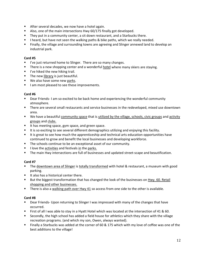- **EXECTE:** After several decades, we now have a hotel again.
- Also, one of the main intersections Hwy 60/175 finally got developed.
- They put in a community center, a sit down restaurant, and a Starbucks there.
- I heard, but have not seen the walking paths & bike paths, which we really needed.
- Finally, the village and surrounding towns are agreeing and Slinger annexed land to develop an industrial park.

- **I** I've just returned home to Slinger. There are so many changes.
- **There is a new shopping center and a wonderful hotel where many skiers are staying.**
- $I$ 've hiked the new hiking trail.
- **The new library is just beautiful.**
- We also have some new parks.
- I am most pleased to see these improvements.

#### **Card #6**

- Dear Friends-I am so excited to be back home and experiencing the wonderful community atmosphere.
- There are several small restaurants and service businesses in the redeveloped, mixed use downtown area.
- We have a beautiful community space that is utilized by the village, schools, civic groups and activity groups and clubs.
- It has meeting space, gym space, and green space.
- It is so exciting to see several different demographics utilizing and enjoying this facility.
- It is great to see how much the apprenticeship and technical arts education opportunities have continued to grow and benefit the local businesses and developing workforce.
- The schools continue to be an exceptional asset of our community.
- $\blacksquare$  I love the activities and festivals in the parks.
- The main Hwy intersections are full of businesses and updated street-scape and beautification.

#### **Card #7**

- The downtown area of Slinger is totally transformed with hotel & restaurant, a museum with good parking.
- It also has a historical center there.
- **But the biggest transformation that has changed the look of the businesses on Hwy. 60. Retail** shopping and other businesses.
- There is also a walking path over Hwy 41 so access from one side to the other is available.

- Dear Friends- Upon returning to Slinger I was impressed with many of the changes that have occurred.
- First of all I was able to stay in a Hyatt Hotel which was located at the intersection of 41 & 60.
- **Secondly, the high school has added a field house for athletics which they share with the village** recreation programs. (and which my son, Owen, always wanted).
- Finally a Starbucks was added at the corner of 60 & 175 which with my love of coffee was one of the best additions to the village!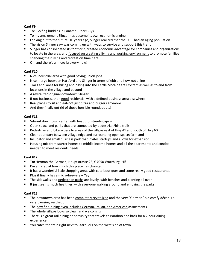- To: Golfing buddies in Panama-Dear Guys-
- **To my amazement Slinger has become its own economic engine.**
- **Looking out to the future, 10 years ago, Slinger realized that the U.S. had an aging population.**
- **The vision Slinger saw was coming up with ways to service and support this trend.**
- Slinger has consolidated its footprint, created economic advantage for companies and organizations to locate in the area, and focused on creating a living and working environment to promote families spending their living and recreation time here.
- Oh, and there's a micro-brewery now!

#### **Card #10**

- Nice industrial area with good paying union jobs
- Nice merge between Hartford and Slinger in terms of ebb and flow-not a line
- **The Trails and lanes for biking and hiking into the Kettle Moraine trail system as well as to and from** locations in the village and beyond
- A revitalized original downtown Slinger
- **If not business, then good residential with a defined business area elsewhere**
- Real places to sit and eat-not just pizza and burgers anymore
- And they finally got rid of those horrible roundabouts!

#### **Card #11**

- Vibrant downtown center with beautiful street-scaping
- **•** Open space and parks that are connected by pedestrian/bike trails
- **Pedestrian and bike access to areas of the village east of Hwy 41 and south of Hwy 60**
- **E** Clear boundary between village edge and surrounding open space/farmland
- **Incubator and small business park that invites startups and allows for expansion**
- Housing mix from starter homes to middle income homes and all the apartments and condos needed to meet residents needs

#### **Card #12**

- **To:** Herman the German, Hauptstrasse 23, G7050 Wurzburg**‐** Hi!
- I'm amazed at how much this place has changed!
- It has a wonderful little shopping area, with cute boutiques and some really good restaurants.
- Plus it finally has a micro-brewery Yay!
- The sidewalks and pedestrian paths are lovely, with benches and planting all over
- It just seems much healthier, with everyone walking around and enjoying the parks

- **The downtown area has been completely revitalized and the very "German" old comfy décor is a** very pleasing aesthetic
- The new fine-dining even includes German, Italian, and American assortments
- The whole village looks so clean and welcoming
- There is a great rail dining opportunity that travels to Baraboo and back for a 2 hour dining experience
- You catch the train right next to Starbucks on the west side of town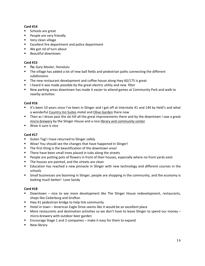- **Schools are great**
- **People are very friendly**
- Very clean village
- **EXCELLENT FIRE DEPARTMENT AND POLICE DEPARTMENT**
- We got rid of turn about
- **Beautiful downtown**

#### **Card #15**

- **To:** Gary Mosler, Honolulu
- The village has added a lot of new ball fields and pedestrian paths connecting the different subdivisions
- The new restaurant development and coffee house along Hwy 60/175 is great
- I heard it was made possible by the great electric utility and new filter
- New parking areas downtown has made it easier to attend games at Community Park and walk to nearby activities

#### **Card #16**

- If it's been 10 years since I've been in Slinger and I got off at Interstate 41 and 144 by Held's and what a wonderful Country Inn Suites motel and Olive Garden there now
- Then as I drove past the ski hill all the great improvements there and by the downtown I saw a great micro‐brewery by the Slinger House and a nice library and community center
- Wow it sure is nice

#### **Card #17**

- **Guten Tag! I have returned to Slinger safely**
- Wow! You should see the changes that have happened in Slinger!
- The first thing is the beautification of the downtown area!
- There have been small trees placed in tubs along the streets
- People are putting pots of flowers in front of their houses, especially where no front yards exist
- **The houses are painted, and the streets are clean**
- Education has reached a new pinnacle in Slinger with new technology and different courses in the schools
- Small businesses are booming in Slinger, people are shopping in the community, and the economy is looking much better! Love Sandy

- **Downtown nice to see more development like The Slinger House redevelopment, restaurants,** shops like Cedarburg and Grafton
- **Hwy 41 pedestrian bridge to help link community**
- Hotel in town American Eagle Drive seems like it would be an excellent place
- **More restaurants and destination activities so we don't have to leave Slinger to spend our money** micro‐brewery with outdoor beer garden
- Encourage Stage 1 and 2 companies make it easy for them to expand
- **New library**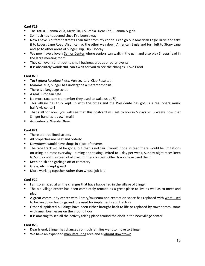- **To:** Tati & Juanma Villa, Medellin, Columbia‐ Dear Tati, Juanma & girls
- So much has happened since I've been away
- Now I have 3 different streets I can take from my condo. I can go out American Eagle Drive and take it to Lovers Lane Road. Also I can go the other way down American Eagle and turn left to Stony Lane and go to other areas of Slinger. Hip, Hip, Hooray
- We now have a lovely Senior Center where seniors can walk in the gym and also play Sheepshead in the large meeting room
- **They can even rent it out to small business groups or party events**
- It is absolutely wonderful, can't wait for you to see the changes Love Carol

#### **Card #20**

- **To:** Signora Roseltee Pieta, Venice, Italy- Ciao Roseltee!
- **Mamma Mia, Slinger has undergone a metamorphosis!**
- **There is a language school**
- A real European café
- No more race cars (remember they used to wake us up?!)
- This villagio has truly kept up with the times and the Presidente has got us a real opera music hall/civic center!
- That's all for now, you will see that this postcard will get to you in 5 days vs. 5 weeks now that Slinger handles it's own mail!
- Arrivedercie, Wendy Olsen

#### **Card #21**

- There are tree lined streets
- All properties are neat and orderly
- Downtown would have shops in place of taverns
- The race track would be gone, but that is not fair. I would hope instead there would be limitations on using it almost everyday – timing and testing limited to 1 day per week, Sunday night races keep to Sunday night instead of all day, mufflers on cars. Other tracks have used them
- Keep brush and garbage off of cemetery
- Grass, etc. is kept great!
- **More working together rather than whose job it is**

#### **Card #22**

- I am so amazed at all the changes that have happened in the village of Slinger
- The old village center has been completely remade as a great place to live as well as to meet and play
- **A** great community center with library/museum and recreation space has replaced with what used to be run down buildings and lots used for implements and tractors
- **•** Other dilapidated buildings have been either brought back to life or replaced by townhomes, some with small businesses on the ground floor
- It is amazing to see all the activity taking place around the clock in the new village center

- Dear friend, Slinger has changed so much families want to move to Slinger
- We have an expanded manufacturing area and a vibrant downtown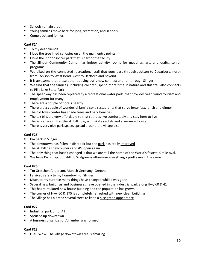- **Schools remain great**
- Young families move here for jobs, recreation, and schools
- Come back and join us

- **To my dear friends**
- I love the tree lined canopies on all the main entry points
- I love the indoor soccer park that is part of the facility
- The Slinger Community Center has indoor activity rooms for meetings, arts and crafts, senior programs
- We biked on the connected recreational trail that goes east through Jackson to Cedarburg, north from Jackson to West Bend, west to Hartford and beyond
- It is awesome that these other outlying trails now connect and run through Slinger
- We find that the families, including children, spend more time in nature and this trail also connects to Pike Lake State Park
- **The speedway has been replaced by a recreational water park, that provides year round tourism and** employment for many
- **There are a couple of hotels nearby**
- There are a couple of wonderful family-style restaurants that serve breakfast, lunch and dinner
- The old town center has shade trees and park benches
- The tax bills are very affordable so that retirees live comfortably and stay here to live
- There is an ice rink at the ski hill now, with skate rentals and a warming house
- **There is very nice park space, spread around the village also**

#### **Card #25**

- **I'm back in Slinger**
- **The downtown has fallen in disrepair but the park has really improved**
- **The ski hill has new owners and it's open again**
- The only thing that hasn't changed is that we are still the home of the World's fastest ¼ mile oval.
- We have Kwik Trip, but still no Walgreens otherwise everything's pretty much the same

#### **Card #26**

- **To:** Gretchen Anderson, Munich Germany‐ Gretchen
- **I** larrived safely to my hometown of Slinger
- **Much to my surprise many things have changed while I was gone**
- Several new buildings and businesses have opened in the industrial park along Hwy 60 & 41
- **This has stimulated new house building and the population has grown**
- The corner of Hwy 60 & 175 is completely refreshed with new clean buildings
- **The village has planted several trees to keep a nice green appearance**

#### **Card #27**

- $\blacksquare$  Industrial park off of 41
- **Spruced up downtown**
- A business organization/chamber was formed

#### **Card #28**

■ Ola!- Wow! The village downtown area is amazing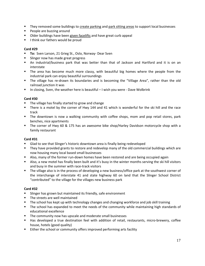- **They removed some buildings to create parking and park sitting areas to support local businesses**
- **People are buzzing around**
- **Dider buildings have been given facelifts and have great curb appeal**
- **I** I think our fathers would be proud

- **To:** Sven Larson, 21 Grieg St., Oslo, Norway- Dear Sven
- **Slinger now has made great progress**
- An industrial/business park that was better than that of Jackson and Hartford and it is on an interstate
- The area has become much more classy, with beautiful big homes where the people from the industrial park can enjoy beautiful surroundings
- The village has re-drawn its boundaries and is becoming the "Village Area", rather than the old railroad junction it was
- In closing, Sven, the weather here is beautiful I wish you were Dave Wolbrink

#### **Card #30**

- The village has finally started to grow and change
- There is a motel by the corner of Hwy 144 and 41 which is wonderful for the ski hill and the race track
- The downtown is now a walking community with coffee shops, mom and pop retail stores, park benches, nice apartments
- The corner of Hwy 60 & 175 has an awesome bike shop/Harley Davidson motorcycle shop with a family restaurant

#### **Card #31**

- Glad to see that Slinger's historic downtown area is finally being redeveloped
- **They have provided grants to restore and redevelop many of the old commercial buildings which are** now housing many local based small businesses
- Also, many of the former run-down homes have been restored and are being occupied again
- Also, a new motel has finally been built and it's busy in the winter months serving the ski hill visitors and busy in the summer with race‐track visitors
- The village also is in the process of developing a new business/office park at the southwest corner of the interchange of interstate 41 and state highway 60 on land that the Slinger School District "contributed" to the village for the villages new business park

- Slinger has grown but maintained its friendly, safe environment
- **The streets are well maintained**
- **The school has kept up with technology changes and changing workforce and job skill training**
- The school has expanded to meet the needs of the community while maintaining high standards of educational excellence
- **The community now has upscale and moderate small businesses**
- Has developed a true destination feel with addition of retail, restaurants, micro-brewery, coffee house, hotels (good quality)
- **Either the school or community offers improved performing arts facility**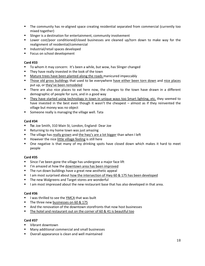- The community has re-aligned space creating residential separated from commercial (currently too mixed together)
- **Slinger is a destination for entertainment, community involvement**
- Lower cost/poor conditioned/closed businesses are cleaned up/torn down to make way for the realignment of residential/commercial
- **Industrial/retail spaces developed**
- **Focus on school development**

- To whom it may concern: It's been a while, but wow, has Slinger changed
- **They have really invested in the look of the town**
- Mature trees have been planted along the roads manicured impeccably
- Those old gross buildings that used to be everywhere have either been torn down and nice places put up, or they've been remodeled
- **There are also nice places to eat here now, the changes to the town have drawn in a different** demographic of people for sure, and in a good way
- They have started using technology in town in unique ways too Smart lighting, etc. they seemed to have invested in the best even though it wasn't the cheapest – almost as if they reinvented the village but money was no object
- **Someone really is managing the village well. Tata**

#### **Card #34**

- **To:** Joe Smith, 310 Main St, London, England- Dear Joe
- Returning to my home town was just amazing
- The village has really grown and the hwy's are a lot bigger than when I left
- However the nice little village feeling is still here
- One negative is that many of my drinking spots have closed down which makes it hard to meet people

#### **Card #35**

- **Since I've been gone the village has undergone a major face lift**
- I'm amazed at how the downtown area has been improved
- The run down buildings have a great new aesthetic appeal
- I am most surprised about how the intersection of Hwy 60 & 175 has been developed
- **The new Walgreens and Target stores are wonderful**
- I am most impressed about the new restaurant base that has also developed in that area.

#### **Card #36**

- **I** lwas thrilled to see the YMCA that was built
- The three new businesses on 60 & 175
- And the renovation of the downtown storefronts that now host businesses
- The hotel and restaurant out on the corner of 60 & 41 is beautiful too

- **U** Vibrant downtown
- Many additional commercial and small businesses
- Overall appearance is clean and well maintained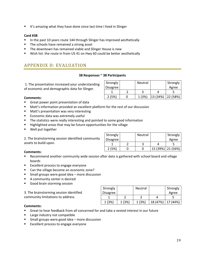It's amazing what they have done since last time I lived in Slinger

#### **Card #38**

- In the past 10 years route 144 through Slinger has improved aesthetically
- The schools have remained a strong asset
- The downtown has remained viable and Slinger House is new
- Wish list: the route in from US 41 on Hwy 60 could be better aesthetically

# APPENDIX D: EVALUATION

#### **38 Responses ~ 38 Participants**

Strongly

Strongly Disagree

1. The presentation increased your understanding of economic and demographic data for Slinge

| סייי~י<br>r | <b>Disagree</b> |           |          | Agree    |
|-------------|-----------------|-----------|----------|----------|
|             |                 |           |          |          |
|             | (5%             | (3%)<br>л | 13 (34%) | 22 (58%) |
|             |                 |           |          |          |

Neutral | Strongly

Neutral | Strongly

Agree

#### **Comments:**

- Great power point presentation of data
- Matt's information provided an excellent platform for the rest of our discussion
- Matt's presentation was very interesting
- **Exercice Extremely useful**
- **The statistics were really interesting and pointed to some good information**
- Highlighted areas that may be future opportunities for the village
- **Well put together**

2. The brainstorming session identified community assets to build upon.

| Comments: |  |
|-----------|--|

- Recommend another community wide session after data is gathered with school board and village boards
- **Excellent process to engage everyone**
- Can the village become an economic zone?
- **Small groups were good idea more discussion**
- **A** community center is desired
- Good brain storming session

3. The brainstorming session identified community limitations to address.

| Strongly        |        | <b>Neutral</b> |          | Strongly |
|-----------------|--------|----------------|----------|----------|
| <b>Disagree</b> |        |                |          | Agree    |
|                 |        |                |          |          |
| 1 (3%)          | 1 (3%) | 1 (3%)         | 18 (47%) | 17 (44%) |

 $1 \mid 2 \mid 3 \mid 4 \mid 5$ 2 (5%) 0 0 15 (39%) 21 (56%)

#### **Comments:**

- Great to hear feedback from all concerned for and take a vested interest in our future
- **Large industry not compatible**
- Small groups were good idea more discussion
- Excellent process to engage everyone